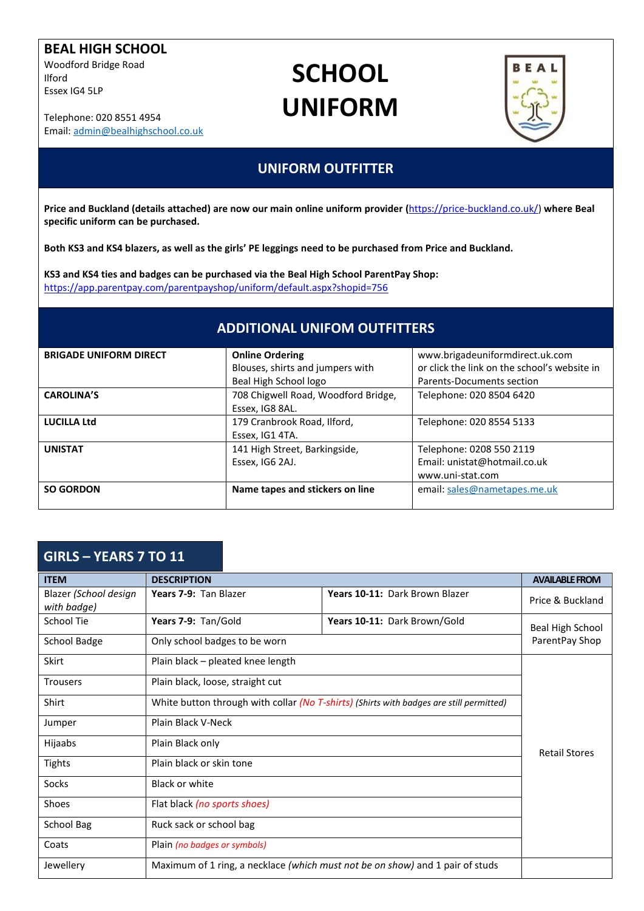#### **BEAL HIGH SCHOOL**

Woodford Bridge Road Ilford Essex IG4 5LP

Telephone: 020 8551 4954 Email: [admin@bealhighschool.co.uk](mailto:admin@bealhighschool.co.uk)

# **SCHOOL UNIFORM**



### **UNIFORM OUTFITTER**

**Price and Buckland (details attached) are now our main online uniform provider (**[https://price-buckland.co.uk/\)](https://price-buckland.co.uk/) **where Beal specific uniform can be purchased.** 

**Both KS3 and KS4 blazers, as well as the girls' PE leggings need to be purchased from Price and Buckland.**

**KS3 and KS4 ties and badges can be purchased via the Beal High School ParentPay Shop:** <https://app.parentpay.com/parentpayshop/uniform/default.aspx?shopid=756>

### **ADDITIONAL UNIFOM OUTFITTERS**

| <b>BRIGADE UNIFORM DIRECT</b> | <b>Online Ordering</b>              | www.brigadeuniformdirect.uk.com              |
|-------------------------------|-------------------------------------|----------------------------------------------|
|                               | Blouses, shirts and jumpers with    | or click the link on the school's website in |
|                               | Beal High School logo               | <b>Parents-Documents section</b>             |
| <b>CAROLINA'S</b>             | 708 Chigwell Road, Woodford Bridge, | Telephone: 020 8504 6420                     |
|                               | Essex, IG8 8AL.                     |                                              |
| <b>LUCILLA Ltd</b>            | 179 Cranbrook Road, Ilford,         | Telephone: 020 8554 5133                     |
|                               | Essex, IG1 4TA.                     |                                              |
| <b>UNISTAT</b>                | 141 High Street, Barkingside,       | Telephone: 0208 550 2119                     |
|                               | Essex, IG6 2AJ.                     | Email: unistat@hotmail.co.uk                 |
|                               |                                     | www.uni-stat.com                             |
| <b>SO GORDON</b>              | Name tapes and stickers on line     | email: sales@nametapes.me.uk                 |
|                               |                                     |                                              |

### **GIRLS – YEARS 7 TO 11**

| <b>ITEM</b>                          | <b>DESCRIPTION</b>                                                                      |                                | <b>AVAILABLE FROM</b> |
|--------------------------------------|-----------------------------------------------------------------------------------------|--------------------------------|-----------------------|
| Blazer (School design<br>with badge) | Years 7-9: Tan Blazer                                                                   | Years 10-11: Dark Brown Blazer | Price & Buckland      |
| School Tie                           | Years 7-9: Tan/Gold                                                                     | Years 10-11: Dark Brown/Gold   | Beal High School      |
| <b>School Badge</b>                  | Only school badges to be worn                                                           |                                | ParentPay Shop        |
| Skirt                                | Plain black - pleated knee length                                                       |                                |                       |
| <b>Trousers</b>                      | Plain black, loose, straight cut                                                        |                                |                       |
| Shirt                                | White button through with collar (No T-shirts) (Shirts with badges are still permitted) |                                |                       |
| Jumper                               | Plain Black V-Neck                                                                      |                                |                       |
| Hijaabs                              | Plain Black only                                                                        |                                | <b>Retail Stores</b>  |
| <b>Tights</b>                        | Plain black or skin tone                                                                |                                |                       |
| Socks                                | <b>Black or white</b>                                                                   |                                |                       |
| <b>Shoes</b>                         | Flat black (no sports shoes)                                                            |                                |                       |
| School Bag                           | Ruck sack or school bag                                                                 |                                |                       |
| Coats                                | Plain (no badges or symbols)                                                            |                                |                       |
| Jewellery                            | Maximum of 1 ring, a necklace (which must not be on show) and 1 pair of studs           |                                |                       |